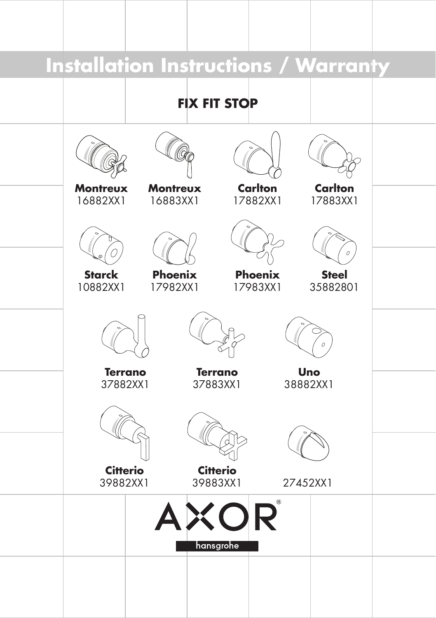# **Installation Instructions / Warranty FIX FIT STOP Carlton Montreux Montreux Carlton** 17882XX1 17883XX1 16882XX1 16883XX1**Starck Phoenix Phoenix Steel** 10882XX1 17983XX1 35882801 17982XX1 **Terrano Terrano Uno** 37883XX1 37882XX1 38882XX1 **Citterio Citterio** 39882XX1 39883XX1 27452XX1 **KOR** hansgrohe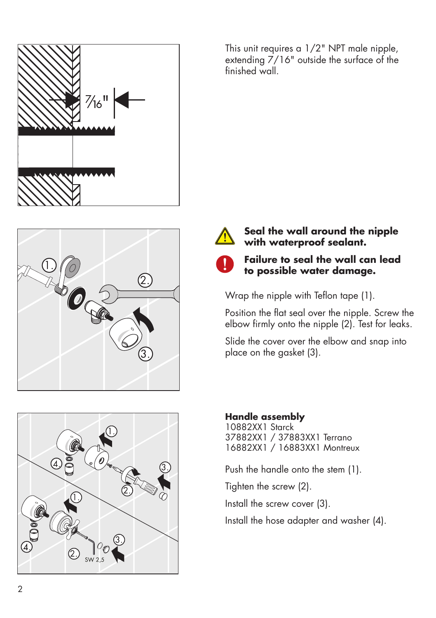





This unit requires a 1/2" NPT male nipple, extending 7/16" outside the surface of the finished wall.



### **Seal the wall around the nipple with waterproof sealant.**



## **Failure to seal the wall can lead to possible water damage.**

Wrap the nipple with Teflon tape (1).

Position the flat seal over the nipple. Screw the elbow firmly onto the nipple (2). Test for leaks.

Slide the cover over the elbow and snap into place on the gasket (3).

## **Handle assembly**

10882XX1 Starck 37882XX1 / 37883XX1 Terrano 16882XX1 / 16883XX1 Montreux

Push the handle onto the stem (1).

Tighten the screw (2).

Install the screw cover (3).

Install the hose adapter and washer (4).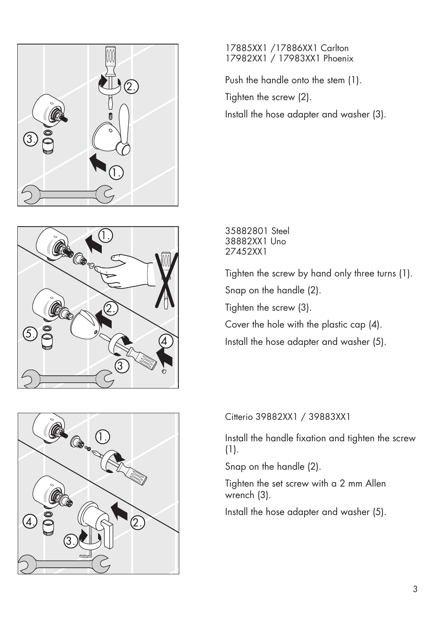





### 17885XX1 /17886XX1 Carlton 17982XX1 / 17983XX1 Phoenix

Push the handle onto the stem (1).

Tighten the screw (2).

Install the hose adapter and washer (3).

35882801 Steel 38882XX1 Uno 27452XX1

Tighten the screw by hand only three turns (1).

Snap on the handle (2).

Tighten the screw (3).

Cover the hole with the plastic cap (4).

Install the hose adapter and washer (5).

Citterio 39882XX1 / 39883XX1

Install the handle fixation and tighten the screw (1).

Snap on the handle (2).

Tighten the set screw with a 2 mm Allen wrench (3).

Install the hose adapter and washer (5).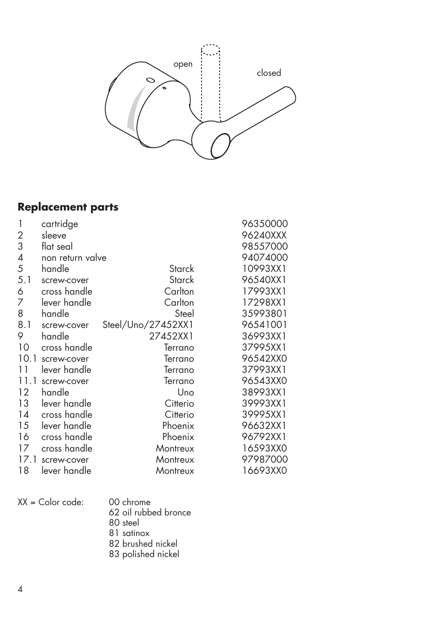

## **Replacement parts**

| 1                 | cartridge        |                    | 96350000 |
|-------------------|------------------|--------------------|----------|
| 2                 | sleeve           |                    | 96240XXX |
| 3                 | flat seal        |                    | 98557000 |
| 4                 | non return valve |                    | 94074000 |
| 5                 | handle           | Starck             | 10993XX1 |
| 5.1               | screw-cover      | Starck             | 96540XX1 |
| 6                 | cross handle     | Carlton            | 17993XX1 |
| 7                 | lever handle     | Carlton            | 17298XX1 |
| 8                 | handle           | Steel              | 35993801 |
| 8.1               | screw-cover      | Steel/Uno/27452XX1 | 96541001 |
| 9                 | handle           | 27452XX1           | 36993XX1 |
| 10                | cross handle     | Terrano            | 37995XX1 |
| 10.1              | screw-cover      | Terrano            | 96542XX0 |
| 11                | lever handle     | Terrano            | 37993XX1 |
| 11.1              | screw-cover      | Terrano            | 96543XX0 |
| $12 \overline{ }$ | handle           | Uno                | 38993XX1 |
| 13                | lever handle     | Citterio           | 39993XX1 |
| 14                | cross handle     | Citterio           | 39995XX1 |
| 15                | lever handle     | Phoenix            | 96632XX1 |
| 16                | cross handle     | Phoenix            | 96792XX1 |
| 17                | cross handle     | Montreux           | 16593XX0 |
| 17.1              | screw-cover      | Montreux           | 97987000 |
| 18                | lever handle     | Montreux           | 16693XX0 |

| $XX = Color code:$ | 00 chrome            |
|--------------------|----------------------|
|                    | 62 oil rubbed bronce |
|                    | 80 steel             |
|                    | 81 satinox           |
|                    | 82 brushed nickel    |

83 polished nickel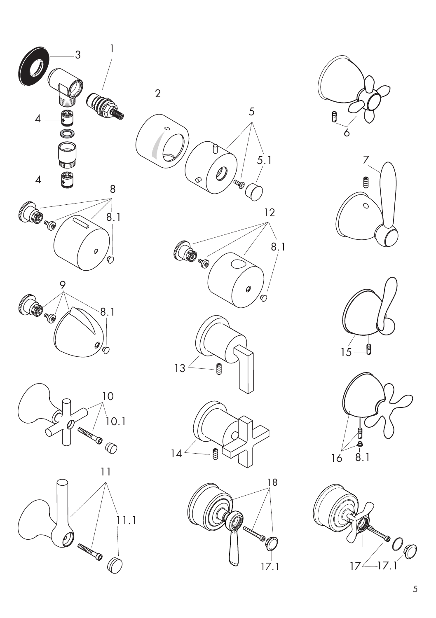

















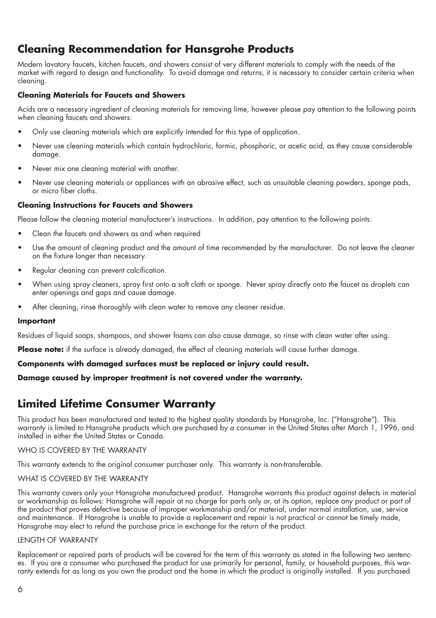## **Cleaning Recommendation for Hansgrohe Products**

Modern lavatory faucets, kitchen faucets, and showers consist of very different materials to comply with the needs of the market with regard to design and functionality. To avoid damage and returns, it is necessary to consider certain criteria when cleaning.

#### **Cleaning Materials for Faucets and Showers**

Acids are a necessary ingredient of cleaning materials for removing lime, however please pay attention to the following points when cleaning faucets and showers:

- Only use cleaning materials which are explicitly intended for this type of application. •
- Never use cleaning materials which contain hydrochloric, formic, phosphoric, or acetic acid, as they cause considerable damage. •
- Never mix one cleaning material with another. •
- Never use cleaning materials or appliances with an abrasive effect, such as unsuitable cleaning powders, sponge pads, or micro fiber cloths. •

#### **Cleaning Instructions for Faucets and Showers**

Please follow the cleaning material manufacturer's instructions. In addition, pay attention to the following points:

- Clean the faucets and showers as and when required •
- Use the amount of cleaning product and the amount of time recommended by the manufacturer. Do not leave the cleaner on the fixture longer than necessary. •
- Regular cleaning can prevent calcification. •
- When using spray cleaners, spray first onto a soft cloth or sponge. Never spray directly onto the faucet as droplets can enter openings and gaps and cause damage. •
- After cleaning, rinse thoroughly with clean water to remove any cleaner residue. •

#### **Important**

Residues of liquid soaps, shampoos, and shower foams can also cause damage, so rinse with clean water after using.

**Please note:** if the surface is already damaged, the effect of cleaning materials will cause further damage.

#### **Components with damaged surfaces must be replaced or injury could result.**

**Damage caused by improper treatment is not covered under the warranty.**

## **Limited Lifetime Consumer Warranty**

This product has been manufactured and tested to the highest quality standards by Hansgrohe, Inc. ("Hansgrohe"). This warranty is limited to Hansgrohe products which are purchased by a consumer in the United States after March 1, 1996, and installed in either the United States or Canada.

#### WHO IS COVERED BY THE WARRANTY

This warranty extends to the original consumer purchaser only. This warranty is non-transferable.

#### WHAT IS COVERED BY THE WARRANTY

This warranty covers only your Hansgrohe manufactured product. Hansgrohe warrants this product against defects in material or workmanship as follows: Hansgrohe will repair at no charge for parts only or, at its option, replace any product or part of the product that proves defective because of improper workmanship and/or material, under normal installation, use, service and maintenance. If Hansgrohe is unable to provide a replacement and repair is not practical or cannot be timely made, Hansgrohe may elect to refund the purchase price in exchange for the return of the product.

#### LENGTH OF WARRANTY

Replacement or repaired parts of products will be covered for the term of this warranty as stated in the following two sentences. If you are a consumer who purchased the product for use primarily for personal, family, or household purposes, this warranty extends for as long as you own the product and the home in which the product is originally installed. If you purchased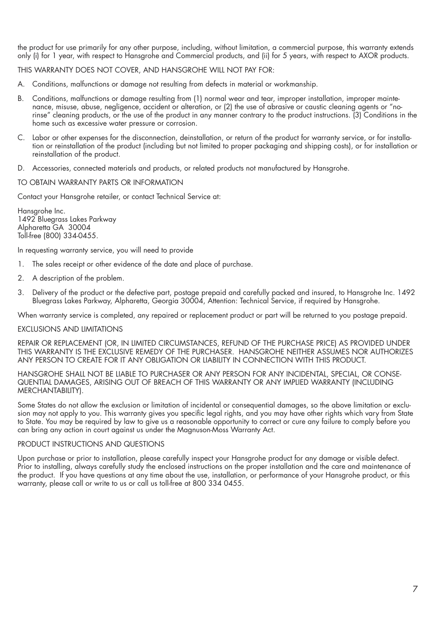the product for use primarily for any other purpose, including, without limitation, a commercial purpose, this warranty extends only (i) for 1 year, with respect to Hansgrohe and Commercial products, and (ii) for 5 years, with respect to AXOR products.

THIS WARRANTY DOES NOT COVER, AND HANSGROHE WILL NOT PAY FOR:

- A. Conditions, malfunctions or damage not resulting from defects in material or workmanship.
- B. Conditions, malfunctions or damage resulting from (1) normal wear and tear, improper installation, improper maintenance, misuse, abuse, negligence, accident or alteration, or (2) the use of abrasive or caustic cleaning agents or "norinse" cleaning products, or the use of the product in any manner contrary to the product instructions. (3) Conditions in the home such as excessive water pressure or corrosion.
- C. Labor or other expenses for the disconnection, deinstallation, or return of the product for warranty service, or for installation or reinstallation of the product (including but not limited to proper packaging and shipping costs), or for installation or reinstallation of the product.
- D. Accessories, connected materials and products, or related products not manufactured by Hansgrohe.

#### TO OBTAIN WARRANTY PARTS OR INFORMATION

Contact your Hansgrohe retailer, or contact Technical Service at:

Hansgrohe Inc. 1492 Bluegrass Lakes Parkway Alpharetta GA 30004 Toll-free (800) 334-0455.

In requesting warranty service, you will need to provide

- 1. The sales receipt or other evidence of the date and place of purchase.
- 2. A description of the problem.
- 3. Delivery of the product or the defective part, postage prepaid and carefully packed and insured, to Hansgrohe Inc. 1492 Bluegrass Lakes Parkway, Alpharetta, Georgia 30004, Attention: Technical Service, if required by Hansgrohe.

When warranty service is completed, any repaired or replacement product or part will be returned to you postage prepaid.

#### EXCLUSIONS AND LIMITATIONS

REPAIR OR REPLACEMENT (OR, IN LIMITED CIRCUMSTANCES, REFUND OF THE PURCHASE PRICE) AS PROVIDED UNDER THIS WARRANTY IS THE EXCLUSIVE REMEDY OF THE PURCHASER. HANSGROHE NEITHER ASSUMES NOR AUTHORIZES ANY PERSON TO CREATE FOR IT ANY OBLIGATION OR LIABILITY IN CONNECTION WITH THIS PRODUCT.

HANSGROHE SHALL NOT BE LIABLE TO PURCHASER OR ANY PERSON FOR ANY INCIDENTAL, SPECIAL, OR CONSE-QUENTIAL DAMAGES, ARISING OUT OF BREACH OF THIS WARRANTY OR ANY IMPLIED WARRANTY (INCLUDING MERCHANTABILITY).

Some States do not allow the exclusion or limitation of incidental or consequential damages, so the above limitation or exclusion may not apply to you. This warranty gives you specific legal rights, and you may have other rights which vary from State to State. You may be required by law to give us a reasonable opportunity to correct or cure any failure to comply before you can bring any action in court against us under the Magnuson-Moss Warranty Act.

#### PRODUCT INSTRUCTIONS AND QUESTIONS

Upon purchase or prior to installation, please carefully inspect your Hansgrohe product for any damage or visible defect. Prior to installing, always carefully study the enclosed instructions on the proper installation and the care and maintenance of the product. If you have questions at any time about the use, installation, or performance of your Hansgrohe product, or this warranty, please call or write to us or call us toll-free at 800 334 0455.